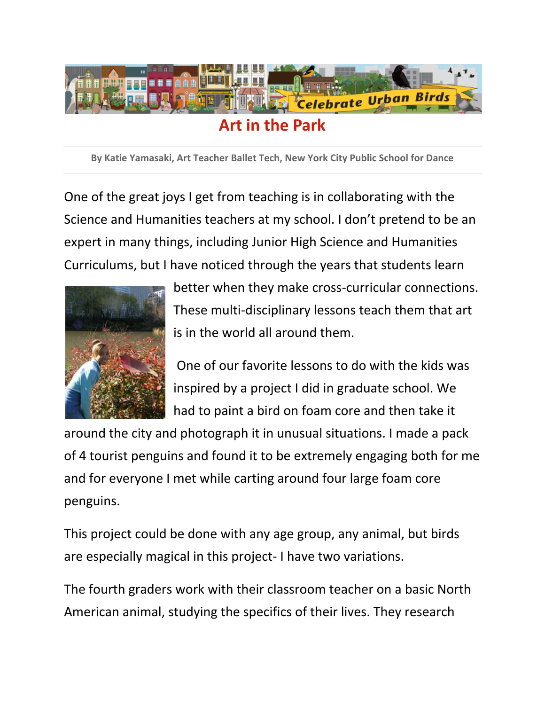

**By Katie Yamasaki, Art Teacher Ballet Tech, New York City Public School for Dance** 

One of the great joys I get from teaching is in collaborating with the Science and Humanities teachers at my school. I don't pretend to be an expert in many things, including Junior High Science and Humanities Curriculums, but I have noticed through the years that students learn



better when they make cross-curricular connections. These multi‐disciplinary lessons teach them that art is in the world all around them.

One of our favorite lessons to do with the kids was inspired by a project I did in graduate school. We had to paint a bird on foam core and then take it

around the city and photograph it in unusual situations. I made a pack of 4 tourist penguins and found it to be extremely engaging both for me and for everyone I met while carting around four large foam core penguins.

This project could be done with any age group, any animal, but birds are especially magical in this project‐ I have two variations.

The fourth graders work with their classroom teacher on a basic North American animal, studying the specifics of their lives. They research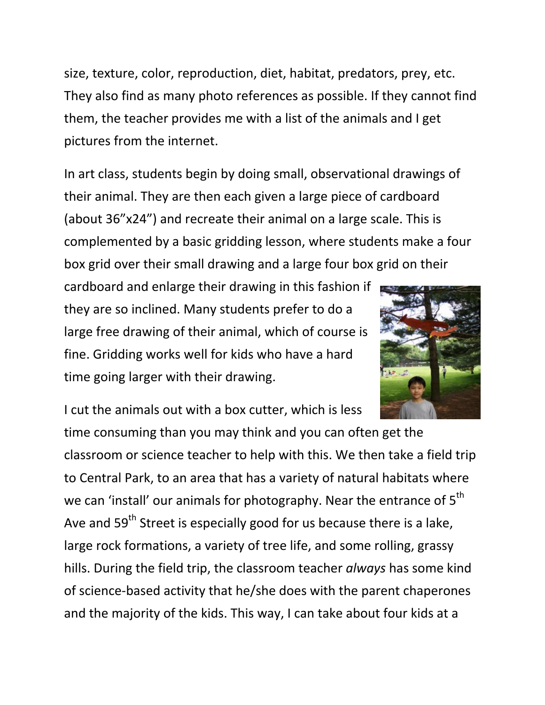size, texture, color, reproduction, diet, habitat, predators, prey, etc. They also find as many photo references as possible. If they cannot find them, the teacher provides me with a list of the animals and I get pictures from the internet.

In art class, students begin by doing small, observational drawings of their animal. They are then each given a large piece of cardboard (about 36"x24") and recreate their animal on a large scale. This is complemented by a basic gridding lesson, where students make a four box grid over their small drawing and a large four box grid on their

cardboard and enlarge their drawing in this fashion if they are so inclined. Many students prefer to do a large free drawing of their animal, which of course is fine. Gridding works well for kids who have a hard time going larger with their drawing.



I cut the animals out with a box cutter, which is less

time consuming than you may think and you can often get the classroom or science teacher to help with this. We then take a field trip to Central Park, to an area that has a variety of natural habitats where we can 'install' our animals for photography. Near the entrance of  $5<sup>th</sup>$ Ave and 59<sup>th</sup> Street is especially good for us because there is a lake, large rock formations, a variety of tree life, and some rolling, grassy hills. During the field trip, the classroom teacher *always* has some kind of science‐based activity that he/she does with the parent chaperones and the majority of the kids. This way, I can take about four kids at a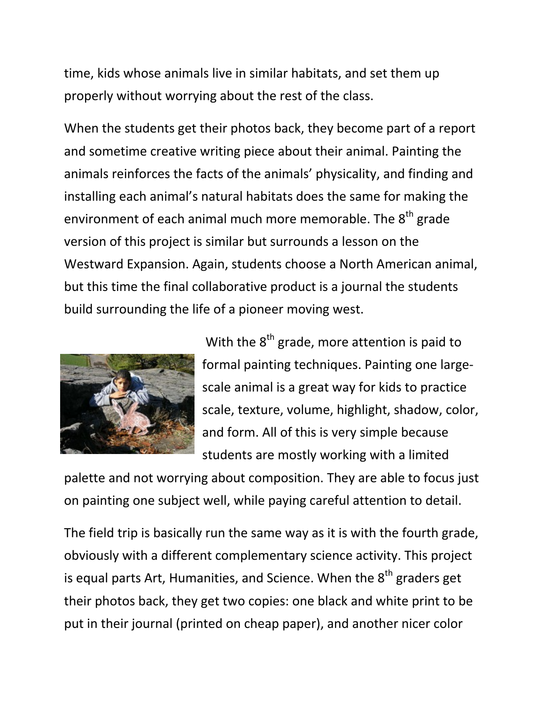time, kids whose animals live in similar habitats, and set them up properly without worrying about the rest of the class.

When the students get their photos back, they become part of a report and sometime creative writing piece about their animal. Painting the animals reinforces the facts of the animals' physicality, and finding and installing each animal's natural habitats does the same for making the environment of each animal much more memorable. The  $8<sup>th</sup>$  grade version of this project is similar but surrounds a lesson on the Westward Expansion. Again, students choose a North American animal, but this time the final collaborative product is a journal the students build surrounding the life of a pioneer moving west.



With the  $8<sup>th</sup>$  grade, more attention is paid to formal painting techniques. Painting one large‐ scale animal is a great way for kids to practice scale, texture, volume, highlight, shadow, color, and form. All of this is very simple because students are mostly working with a limited

palette and not worrying about composition. They are able to focus just on painting one subject well, while paying careful attention to detail.

The field trip is basically run the same way as it is with the fourth grade, obviously with a different complementary science activity. This project is equal parts Art, Humanities, and Science. When the  $8<sup>th</sup>$  graders get their photos back, they get two copies: one black and white print to be put in their journal (printed on cheap paper), and another nicer color